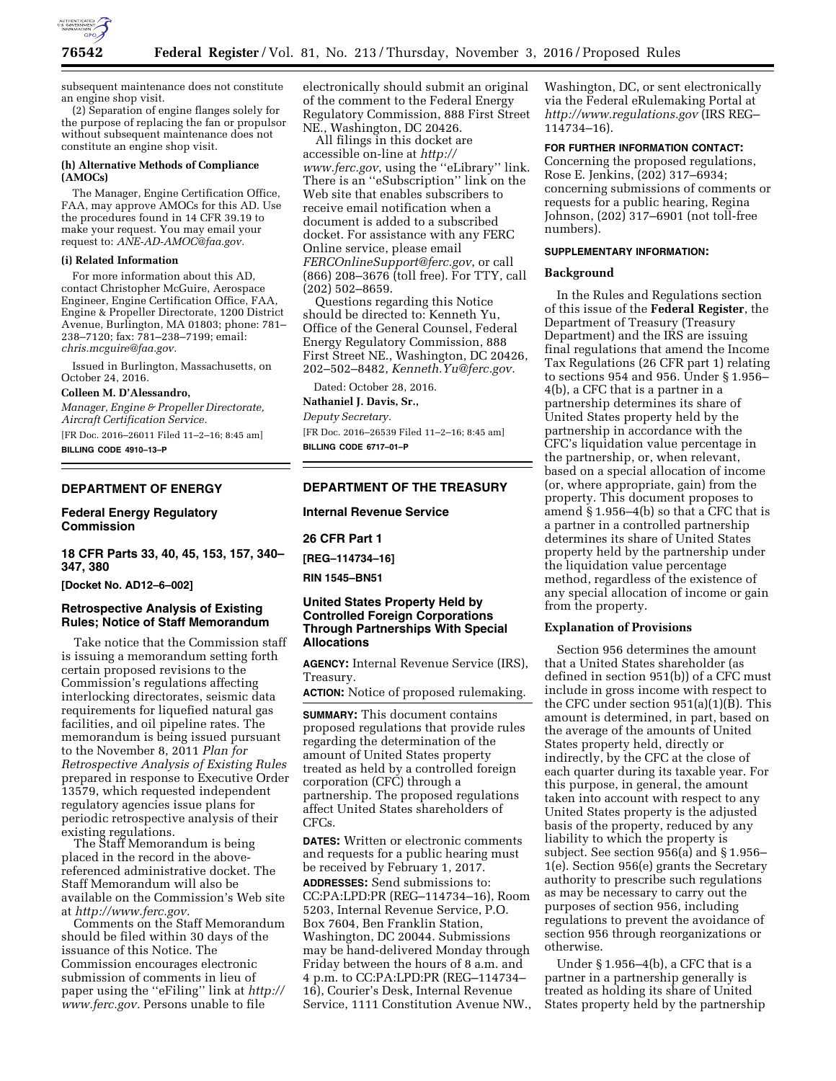

subsequent maintenance does not constitute an engine shop visit.

(2) Separation of engine flanges solely for the purpose of replacing the fan or propulsor without subsequent maintenance does not constitute an engine shop visit.

### **(h) Alternative Methods of Compliance (AMOCs)**

The Manager, Engine Certification Office, FAA, may approve AMOCs for this AD. Use the procedures found in 14 CFR 39.19 to make your request. You may email your request to: *[ANE-AD-AMOC@faa.gov.](mailto:ANE-AD-AMOC@faa.gov)* 

## **(i) Related Information**

For more information about this AD, contact Christopher McGuire, Aerospace Engineer, Engine Certification Office, FAA, Engine & Propeller Directorate, 1200 District Avenue, Burlington, MA 01803; phone: 781– 238–7120; fax: 781–238–7199; email: *[chris.mcguire@faa.gov.](mailto:chris.mcguire@faa.gov)* 

Issued in Burlington, Massachusetts, on October 24, 2016.

#### **Colleen M. D'Alessandro,**

*Manager, Engine & Propeller Directorate, Aircraft Certification Service.* 

[FR Doc. 2016–26011 Filed 11–2–16; 8:45 am]

**BILLING CODE 4910–13–P** 

## **DEPARTMENT OF ENERGY**

# **Federal Energy Regulatory Commission**

**18 CFR Parts 33, 40, 45, 153, 157, 340– 347, 380** 

**[Docket No. AD12–6–002]** 

# **Retrospective Analysis of Existing Rules; Notice of Staff Memorandum**

Take notice that the Commission staff is issuing a memorandum setting forth certain proposed revisions to the Commission's regulations affecting interlocking directorates, seismic data requirements for liquefied natural gas facilities, and oil pipeline rates. The memorandum is being issued pursuant to the November 8, 2011 *Plan for Retrospective Analysis of Existing Rules*  prepared in response to Executive Order 13579, which requested independent regulatory agencies issue plans for periodic retrospective analysis of their existing regulations. The Staff Memorandum is being

placed in the record in the abovereferenced administrative docket. The Staff Memorandum will also be available on the Commission's Web site at *[http://www.ferc.gov.](http://www.ferc.gov)* 

Comments on the Staff Memorandum should be filed within 30 days of the issuance of this Notice. The Commission encourages electronic submission of comments in lieu of paper using the ''eFiling'' link at *[http://](http://www.ferc.gov) [www.ferc.gov.](http://www.ferc.gov)* Persons unable to file

electronically should submit an original of the comment to the Federal Energy Regulatory Commission, 888 First Street NE., Washington, DC 20426.

All filings in this docket are accessible on-line at *[http://](http://www.ferc.gov) [www.ferc.gov](http://www.ferc.gov)*, using the ''eLibrary'' link. There is an ''eSubscription'' link on the Web site that enables subscribers to receive email notification when a document is added to a subscribed docket. For assistance with any FERC Online service, please email *[FERCOnlineSupport@ferc.gov](mailto:FERCOnlineSupport@ferc.gov)*, or call (866) 208–3676 (toll free). For TTY, call (202) 502–8659.

Questions regarding this Notice should be directed to: Kenneth Yu, Office of the General Counsel, Federal Energy Regulatory Commission, 888 First Street NE., Washington, DC 20426, 202–502–8482, *[Kenneth.Yu@ferc.gov.](mailto:Kenneth.Yu@ferc.gov)* 

Dated: October 28, 2016.

**Nathaniel J. Davis, Sr.,** 

*Deputy Secretary.* 

[FR Doc. 2016–26539 Filed 11–2–16; 8:45 am] **BILLING CODE 6717–01–P** 

# **DEPARTMENT OF THE TREASURY**

**Internal Revenue Service** 

**26 CFR Part 1** 

**[REG–114734–16]** 

**RIN 1545–BN51** 

# **United States Property Held by Controlled Foreign Corporations Through Partnerships With Special Allocations**

**AGENCY:** Internal Revenue Service (IRS), Treasury.

**ACTION:** Notice of proposed rulemaking.

**SUMMARY:** This document contains proposed regulations that provide rules regarding the determination of the amount of United States property treated as held by a controlled foreign corporation (CFC) through a partnership. The proposed regulations affect United States shareholders of CFCs.

**DATES:** Written or electronic comments and requests for a public hearing must be received by February 1, 2017. **ADDRESSES:** Send submissions to: CC:PA:LPD:PR (REG–114734–16), Room 5203, Internal Revenue Service, P.O. Box 7604, Ben Franklin Station, Washington, DC 20044. Submissions may be hand-delivered Monday through Friday between the hours of 8 a.m. and 4 p.m. to CC:PA:LPD:PR (REG–114734– 16), Courier's Desk, Internal Revenue Service, 1111 Constitution Avenue NW., Washington, DC, or sent electronically via the Federal eRulemaking Portal at *<http://www.regulations.gov>* (IRS REG– 114734–16).

**FOR FURTHER INFORMATION CONTACT:** 

Concerning the proposed regulations, Rose E. Jenkins, (202) 317–6934; concerning submissions of comments or requests for a public hearing, Regina Johnson, (202) 317–6901 (not toll-free numbers).

#### **SUPPLEMENTARY INFORMATION:**

#### **Background**

In the Rules and Regulations section of this issue of the **Federal Register**, the Department of Treasury (Treasury Department) and the IRS are issuing final regulations that amend the Income Tax Regulations (26 CFR part 1) relating to sections 954 and 956. Under § 1.956– 4(b), a CFC that is a partner in a partnership determines its share of United States property held by the partnership in accordance with the CFC's liquidation value percentage in the partnership, or, when relevant, based on a special allocation of income (or, where appropriate, gain) from the property. This document proposes to amend § 1.956–4(b) so that a CFC that is a partner in a controlled partnership determines its share of United States property held by the partnership under the liquidation value percentage method, regardless of the existence of any special allocation of income or gain from the property.

## **Explanation of Provisions**

Section 956 determines the amount that a United States shareholder (as defined in section 951(b)) of a CFC must include in gross income with respect to the CFC under section 951(a)(1)(B). This amount is determined, in part, based on the average of the amounts of United States property held, directly or indirectly, by the CFC at the close of each quarter during its taxable year. For this purpose, in general, the amount taken into account with respect to any United States property is the adjusted basis of the property, reduced by any liability to which the property is subject. See section 956(a) and § 1.956– 1(e). Section 956(e) grants the Secretary authority to prescribe such regulations as may be necessary to carry out the purposes of section 956, including regulations to prevent the avoidance of section 956 through reorganizations or otherwise.

Under § 1.956–4(b), a CFC that is a partner in a partnership generally is treated as holding its share of United States property held by the partnership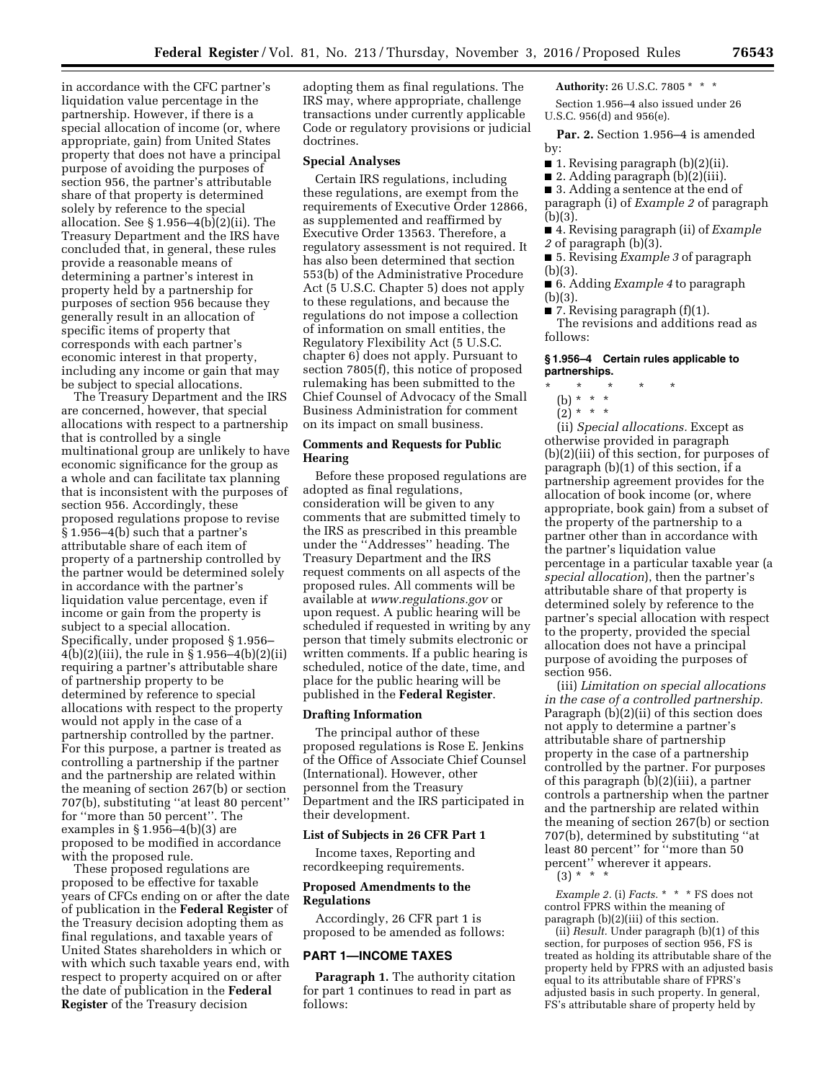in accordance with the CFC partner's liquidation value percentage in the partnership. However, if there is a special allocation of income (or, where appropriate, gain) from United States property that does not have a principal purpose of avoiding the purposes of section 956, the partner's attributable share of that property is determined solely by reference to the special allocation. See § 1.956–4(b)(2)(ii). The Treasury Department and the IRS have concluded that, in general, these rules provide a reasonable means of determining a partner's interest in property held by a partnership for purposes of section 956 because they generally result in an allocation of specific items of property that corresponds with each partner's economic interest in that property, including any income or gain that may be subject to special allocations.

The Treasury Department and the IRS are concerned, however, that special allocations with respect to a partnership that is controlled by a single multinational group are unlikely to have economic significance for the group as a whole and can facilitate tax planning that is inconsistent with the purposes of section 956. Accordingly, these proposed regulations propose to revise § 1.956–4(b) such that a partner's attributable share of each item of property of a partnership controlled by the partner would be determined solely in accordance with the partner's liquidation value percentage, even if income or gain from the property is subject to a special allocation. Specifically, under proposed § 1.956– 4(b)(2)(iii), the rule in § 1.956–4(b)(2)(ii) requiring a partner's attributable share of partnership property to be determined by reference to special allocations with respect to the property would not apply in the case of a partnership controlled by the partner. For this purpose, a partner is treated as controlling a partnership if the partner and the partnership are related within the meaning of section 267(b) or section 707(b), substituting ''at least 80 percent'' for ''more than 50 percent''. The examples in § 1.956–4(b)(3) are proposed to be modified in accordance with the proposed rule.

These proposed regulations are proposed to be effective for taxable years of CFCs ending on or after the date of publication in the **Federal Register** of the Treasury decision adopting them as final regulations, and taxable years of United States shareholders in which or with which such taxable years end, with respect to property acquired on or after the date of publication in the **Federal Register** of the Treasury decision

adopting them as final regulations. The IRS may, where appropriate, challenge transactions under currently applicable Code or regulatory provisions or judicial doctrines.

### **Special Analyses**

Certain IRS regulations, including these regulations, are exempt from the requirements of Executive Order 12866, as supplemented and reaffirmed by Executive Order 13563. Therefore, a regulatory assessment is not required. It has also been determined that section 553(b) of the Administrative Procedure Act (5 U.S.C. Chapter 5) does not apply to these regulations, and because the regulations do not impose a collection of information on small entities, the Regulatory Flexibility Act (5 U.S.C. chapter 6) does not apply. Pursuant to section 7805(f), this notice of proposed rulemaking has been submitted to the Chief Counsel of Advocacy of the Small Business Administration for comment on its impact on small business.

# **Comments and Requests for Public Hearing**

Before these proposed regulations are adopted as final regulations, consideration will be given to any comments that are submitted timely to the IRS as prescribed in this preamble under the ''Addresses'' heading. The Treasury Department and the IRS request comments on all aspects of the proposed rules. All comments will be available at *[www.regulations.gov](http://www.regulations.gov)* or upon request. A public hearing will be scheduled if requested in writing by any person that timely submits electronic or written comments. If a public hearing is scheduled, notice of the date, time, and place for the public hearing will be published in the **Federal Register**.

#### **Drafting Information**

The principal author of these proposed regulations is Rose E. Jenkins of the Office of Associate Chief Counsel (International). However, other personnel from the Treasury Department and the IRS participated in their development.

### **List of Subjects in 26 CFR Part 1**

Income taxes, Reporting and recordkeeping requirements.

# **Proposed Amendments to the Regulations**

Accordingly, 26 CFR part 1 is proposed to be amended as follows:

### **PART 1—INCOME TAXES**

**Paragraph 1.** The authority citation for part 1 continues to read in part as follows:

# **Authority:** 26 U.S.C. 7805 \* \* \*

Section 1.956–4 also issued under 26 U.S.C. 956(d) and 956(e).

Par. 2. Section 1.956-4 is amended by:

- 1. Revising paragraph (b)(2)(ii).
- 2. Adding paragraph (b)(2)(iii).

■ 3. Adding a sentence at the end of

paragraph (i) of *Example 2* of paragraph (b)(3).

■ 4. Revising paragraph (ii) of *Example 2* of paragraph (b)(3).

■ 5. Revising *Example 3* of paragraph (b)(3).

■ 6. Adding *Example 4* to paragraph (b)(3).

■ 7. Revising paragraph (f)(1).

The revisions and additions read as follows:

### **§ 1.956–4 Certain rules applicable to partnerships.**

- \* \* \* \* \*
	- (b) \* \* \*  $(2)^* * * *$
- (ii) *Special allocations.* Except as otherwise provided in paragraph (b)(2)(iii) of this section, for purposes of paragraph (b)(1) of this section, if a partnership agreement provides for the allocation of book income (or, where appropriate, book gain) from a subset of the property of the partnership to a partner other than in accordance with the partner's liquidation value percentage in a particular taxable year (a *special allocation*), then the partner's attributable share of that property is determined solely by reference to the partner's special allocation with respect to the property, provided the special allocation does not have a principal purpose of avoiding the purposes of section 956.

(iii) *Limitation on special allocations in the case of a controlled partnership.*  Paragraph (b)(2)(ii) of this section does not apply to determine a partner's attributable share of partnership property in the case of a partnership controlled by the partner. For purposes of this paragraph (b)(2)(iii), a partner controls a partnership when the partner and the partnership are related within the meaning of section 267(b) or section 707(b), determined by substituting ''at least 80 percent'' for ''more than 50 percent'' wherever it appears.  $(3) * * * *$ 

*Example 2.* (i) *Facts.* \* \* \* FS does not control FPRS within the meaning of paragraph (b)(2)(iii) of this section.

(ii) *Result.* Under paragraph (b)(1) of this section, for purposes of section 956, FS is treated as holding its attributable share of the property held by FPRS with an adjusted basis equal to its attributable share of FPRS's adjusted basis in such property. In general, FS's attributable share of property held by